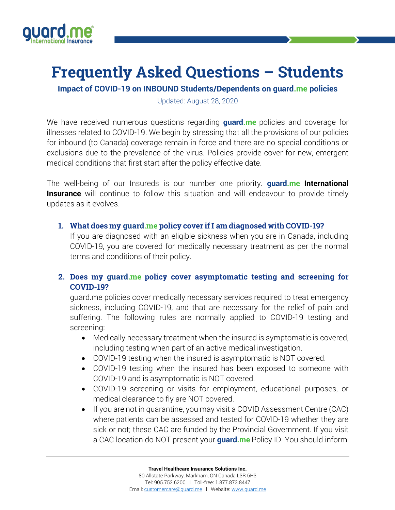

# **Frequently Asked Questions – Students**

**Impact of COVID-19 on INBOUND Students/Dependents on guard.me policies**

Updated: August 28, 2020

We have received numerous questions regarding **guard.me** policies and coverage for illnesses related to COVID-19. We begin by stressing that all the provisions of our policies for inbound (to Canada) coverage remain in force and there are no special conditions or exclusions due to the prevalence of the virus. Policies provide cover for new, emergent medical conditions that first start after the policy effective date.

The well-being of our Insureds is our number one priority. **guard.me International Insurance** will continue to follow this situation and will endeavour to provide timely updates as it evolves.

#### **1. What does my guard.me policy cover ifI am diagnosed with COVID-19?**

If you are diagnosed with an eligible sickness when you are in Canada, including COVID-19, you are covered for medically necessary treatment as per the normal terms and conditions of their policy.

### **2. Does my guard.me policy cover asymptomatic testing and screening for COVID-19?**

guard.me policies cover medically necessary services required to treat emergency sickness, including COVID-19, and that are necessary for the relief of pain and suffering. The following rules are normally applied to COVID-19 testing and screening:

- Medically necessary treatment when the insured is symptomatic is covered, including testing when part of an active medical investigation.
- COVID-19 testing when the insured is asymptomatic is NOT covered.
- COVID-19 testing when the insured has been exposed to someone with COVID-19 and is asymptomatic is NOT covered.
- COVID-19 screening or visits for employment, educational purposes, or medical clearance to fly are NOT covered.
- If you are not in quarantine, you may visit a COVID Assessment Centre (CAC) where patients can be assessed and tested for COVID-19 whether they are sick or not; these CAC are funded by the Provincial Government. If you visit a CAC location do NOT present your **guard.me** Policy ID. You should inform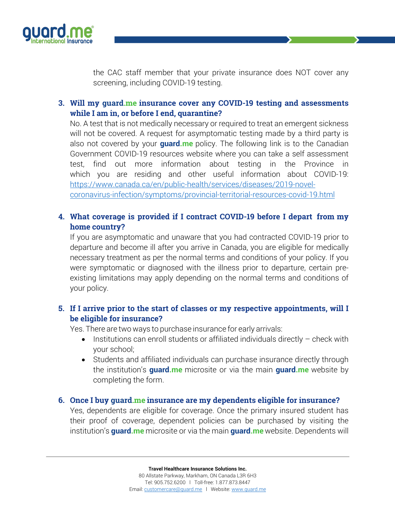

the CAC staff member that your private insurance does NOT cover any screening, including COVID-19 testing.

## **3. Will my guard.me insurance cover any COVID-19 testing and assessments while I am in, or before I end, quarantine?**

No. A test that is not medically necessary or required to treat an emergent sickness will not be covered. A request for asymptomatic testing made by a third party is also not covered by your **guard.me** policy. The following link is to the Canadian Government COVID-19 resources website where you can take a self assessment test, find out more information about testing in the Province in which you are residing and other useful information about COVID-19: https://www.canada.ca/en/public-health/services/diseases/2019-novelcoronavirus-infection/symptoms/provincial-territorial-resources-covid-19.html

## **4. What coverage is provided if I contract COVID-19 before I depart from my home country?**

If you are asymptomatic and unaware that you had contracted COVID-19 prior to departure and become ill after you arrive in Canada, you are eligible for medically necessary treatment as per the normal terms and conditions of your policy. If you were symptomatic or diagnosed with the illness prior to departure, certain preexisting limitations may apply depending on the normal terms and conditions of your policy.

# **5. If I arrive prior to the start of classes or my respective appointments, will I be eligible for insurance?**

Yes. There are two ways to purchase insurance for early arrivals:

- Institutions can enroll students or affiliated individuals directly check with your school;
- Students and affiliated individuals can purchase insurance directly through the institution's **guard.me** microsite or via the main **guard.me** website by completing the form.

#### **6. Once I buy guard.me insurance are my dependents eligible for insurance?**

Yes, dependents are eligible for coverage. Once the primary insured student has their proof of coverage, dependent policies can be purchased by visiting the institution's **guard.me** microsite or via the main **guard.me** website. Dependents will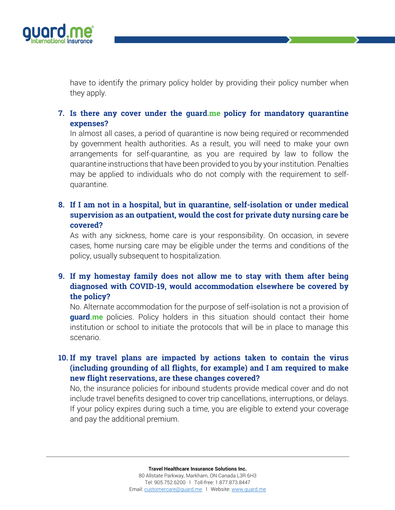

have to identify the primary policy holder by providing their policy number when they apply.

**7. Is there any cover under the guard.me policy for mandatory quarantine expenses?**

In almost all cases, a period of quarantine is now being required or recommended by government health authorities. As a result, you will need to make your own arrangements for self-quarantine, as you are required by law to follow the quarantine instructions that have been provided to you by your institution. Penalties may be applied to individuals who do not comply with the requirement to selfquarantine.

## **8. If I am not in a hospital, but in quarantine, self-isolation or under medical supervision as an outpatient, would the cost for private duty nursing care be covered?**

As with any sickness, home care is your responsibility. On occasion, in severe cases, home nursing care may be eligible under the terms and conditions of the policy, usually subsequent to hospitalization.

# **9. If my homestay family does not allow me to stay with them after being diagnosed with COVID-19, would accommodation elsewhere be covered by the policy?**

No. Alternate accommodation for the purpose of self-isolation is not a provision of **guard.me** policies. Policy holders in this situation should contact their home institution or school to initiate the protocols that will be in place to manage this scenario.

# **10. If my travel plans are impacted by actions taken to contain the virus (including grounding of all flights, for example) and I am required to make new flight reservations, are these changes covered?**

No, the insurance policies for inbound students provide medical cover and do not include travel benefits designed to cover trip cancellations, interruptions, or delays. If your policy expires during such a time, you are eligible to extend your coverage and pay the additional premium.